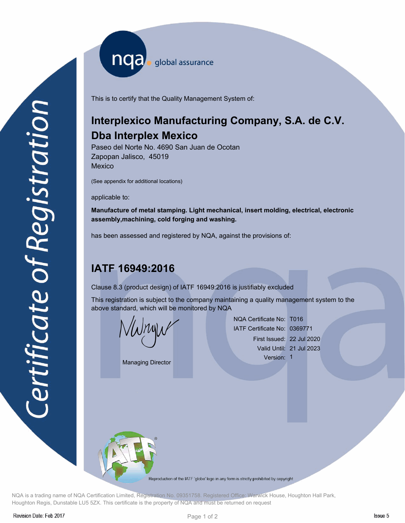nqa surance

This is to certify that the Quality Management System of:

## **Interplexico Manufacturing Company, S.A. de C.V. Dba Interplex Mexico**

Paseo del Norte No. 4690 San Juan de Ocotan Zapopan Jalisco, 45019 Mexico

(See appendix for additional locations)

applicable to:

**Manufacture of metal stamping. Light mechanical, insert molding, electrical, electronic assembly,machining, cold forging and washing.**

has been assessed and registered by NQA, against the provisions of:

## **IATF 16949:2016**

Clause 8.3 (product design) of IATF 16949:2016 is justifiably excluded

This registration is subject to the company maintaining a quality management system to the above standard, which will be monitored by NQA

se 8.3 (product design) of IATF<br>registration is subject to the cor<br>re standard, which will be monite

Managing Director

NQA Certificate No: T016 IATF Certificate No: 0369771 First Issued: 22 Jul 2020 Valid Until: 21 Jul 2023 Version: 1



Reproduction of the IATF 'globe' logo in any form is strictly prohibited by copyright

NQA is a trading name of NQA Certification Limited, Registration No. 09351758. Registered Office: Warwick House, Houghton Hall Park, Houghton Regis, Dunstable LU5 5ZX. This certificate is the property of NQA and must be returned on request